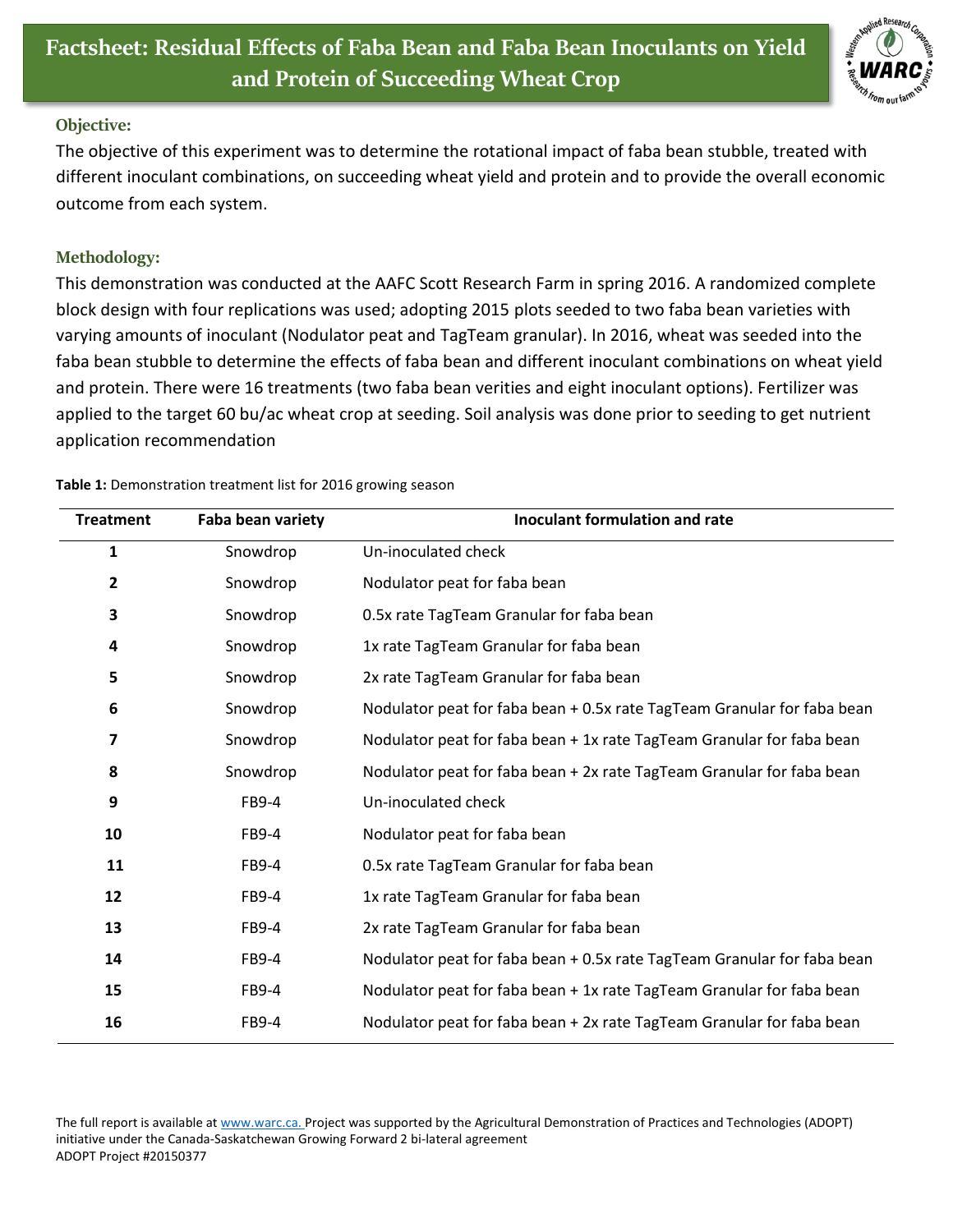

## **Objective:**

The objective of this experiment was to determine the rotational impact of faba bean stubble, treated with different inoculant combinations, on succeeding wheat yield and protein and to provide the overall economic outcome from each system.

## **Methodology:**

This demonstration was conducted at the AAFC Scott Research Farm in spring 2016. A randomized complete block design with four replications was used; adopting 2015 plots seeded to two faba bean varieties with varying amounts of inoculant (Nodulator peat and TagTeam granular). In 2016, wheat was seeded into the faba bean stubble to determine the effects of faba bean and different inoculant combinations on wheat yield and protein. There were 16 treatments (two faba bean verities and eight inoculant options). Fertilizer was applied to the target 60 bu/ac wheat crop at seeding. Soil analysis was done prior to seeding to get nutrient application recommendation

| <b>Treatment</b>        | Faba bean variety | <b>Inoculant formulation and rate</b>                                   |
|-------------------------|-------------------|-------------------------------------------------------------------------|
| $\mathbf{1}$            | Snowdrop          | Un-inoculated check                                                     |
| $\overline{\mathbf{c}}$ | Snowdrop          | Nodulator peat for faba bean                                            |
| 3                       | Snowdrop          | 0.5x rate TagTeam Granular for faba bean                                |
| 4                       | Snowdrop          | 1x rate TagTeam Granular for faba bean                                  |
| 5                       | Snowdrop          | 2x rate TagTeam Granular for faba bean                                  |
| 6                       | Snowdrop          | Nodulator peat for faba bean + 0.5x rate TagTeam Granular for faba bean |
| 7                       | Snowdrop          | Nodulator peat for faba bean + 1x rate TagTeam Granular for faba bean   |
| 8                       | Snowdrop          | Nodulator peat for faba bean + 2x rate TagTeam Granular for faba bean   |
| 9                       | FB9-4             | Un-inoculated check                                                     |
| 10                      | FB9-4             | Nodulator peat for faba bean                                            |
| 11                      | FB9-4             | 0.5x rate TagTeam Granular for faba bean                                |
| 12                      | FB9-4             | 1x rate TagTeam Granular for faba bean                                  |
| 13                      | FB9-4             | 2x rate TagTeam Granular for faba bean                                  |
| 14                      | FB9-4             | Nodulator peat for faba bean + 0.5x rate TagTeam Granular for faba bean |
| 15                      | FB9-4             | Nodulator peat for faba bean + 1x rate TagTeam Granular for faba bean   |
| 16                      | FB9-4             | Nodulator peat for faba bean + 2x rate TagTeam Granular for faba bean   |

**Table 1:** Demonstration treatment list for 2016 growing season

The full report is available at [www.warc.ca.](http://www.warc.ca/) Project was supported by the Agricultural Demonstration of Practices and Technologies (ADOPT) initiative under the Canada-Saskatchewan Growing Forward 2 bi-lateral agreement ADOPT Project #20150377